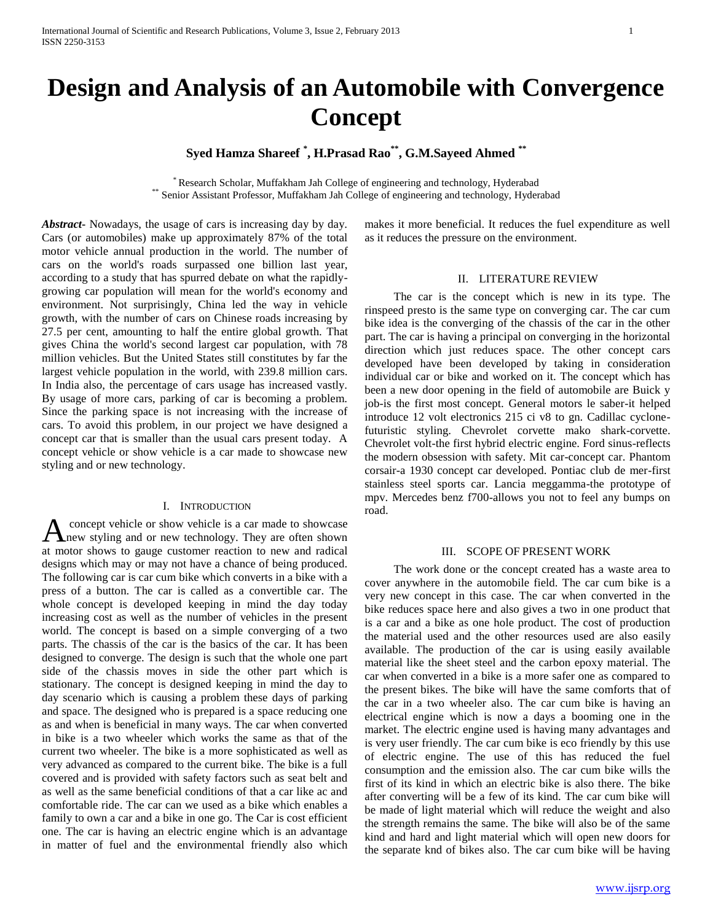# **Design and Analysis of an Automobile with Convergence Concept**

## **Syed Hamza Shareef \* , H.Prasad Rao\*\* , G.M.Sayeed Ahmed \*\***

\* Research Scholar, Muffakham Jah College of engineering and technology, Hyderabad \*\* Senior Assistant Professor, Muffakham Jah College of engineering and technology, Hyderabad

*Abstract***-** Nowadays, the usage of cars is increasing day by day. Cars (or automobiles) make up approximately 87% of the total motor vehicle annual production in the world. The number of cars on the world's roads surpassed one billion last year, according to a study that has spurred debate on what the rapidlygrowing car population will mean for the world's economy and environment. Not surprisingly, China led the way in vehicle growth, with the number of cars on Chinese roads increasing by 27.5 per cent, amounting to half the entire global growth. That gives China the world's second largest car population, with 78 million vehicles. But the United States still constitutes by far the largest vehicle population in the world, with 239.8 million cars. In India also, the percentage of cars usage has increased vastly. By usage of more cars, parking of car is becoming a problem. Since the parking space is not increasing with the increase of cars. To avoid this problem, in our project we have designed a concept car that is smaller than the usual cars present today. A concept vehicle or show vehicle is a car made to showcase new styling and or new technology.

#### I. INTRODUCTION

concept vehicle or show vehicle is a car made to showcase A concept vehicle or show vehicle is a car made to showcase<br>hnew styling and or new technology. They are often shown at motor shows to gauge customer reaction to new and radical designs which may or may not have a chance of being produced. The following car is car cum bike which converts in a bike with a press of a button. The car is called as a convertible car. The whole concept is developed keeping in mind the day today increasing cost as well as the number of vehicles in the present world. The concept is based on a simple converging of a two parts. The chassis of the car is the basics of the car. It has been designed to converge. The design is such that the whole one part side of the chassis moves in side the other part which is stationary. The concept is designed keeping in mind the day to day scenario which is causing a problem these days of parking and space. The designed who is prepared is a space reducing one as and when is beneficial in many ways. The car when converted in bike is a two wheeler which works the same as that of the current two wheeler. The bike is a more sophisticated as well as very advanced as compared to the current bike. The bike is a full covered and is provided with safety factors such as seat belt and as well as the same beneficial conditions of that a car like ac and comfortable ride. The car can we used as a bike which enables a family to own a car and a bike in one go. The Car is cost efficient one. The car is having an electric engine which is an advantage in matter of fuel and the environmental friendly also which

makes it more beneficial. It reduces the fuel expenditure as well as it reduces the pressure on the environment.

#### II. LITERATURE REVIEW

 The car is the concept which is new in its type. The rinspeed presto is the same type on converging car. The car cum bike idea is the converging of the chassis of the car in the other part. The car is having a principal on converging in the horizontal direction which just reduces space. The other concept cars developed have been developed by taking in consideration individual car or bike and worked on it. The concept which has been a new door opening in the field of automobile are Buick y job-is the first most concept. General motors le saber-it helped introduce 12 volt electronics 215 ci v8 to gn. Cadillac cyclonefuturistic styling. Chevrolet corvette mako shark-corvette. Chevrolet volt-the first hybrid electric engine. Ford sinus-reflects the modern obsession with safety. Mit car-concept car. Phantom corsair-a 1930 concept car developed. Pontiac club de mer-first stainless steel sports car. Lancia meggamma-the prototype of mpv. Mercedes benz f700-allows you not to feel any bumps on road.

#### III. SCOPE OF PRESENT WORK

 The work done or the concept created has a waste area to cover anywhere in the automobile field. The car cum bike is a very new concept in this case. The car when converted in the bike reduces space here and also gives a two in one product that is a car and a bike as one hole product. The cost of production the material used and the other resources used are also easily available. The production of the car is using easily available material like the sheet steel and the carbon epoxy material. The car when converted in a bike is a more safer one as compared to the present bikes. The bike will have the same comforts that of the car in a two wheeler also. The car cum bike is having an electrical engine which is now a days a booming one in the market. The electric engine used is having many advantages and is very user friendly. The car cum bike is eco friendly by this use of electric engine. The use of this has reduced the fuel consumption and the emission also. The car cum bike wills the first of its kind in which an electric bike is also there. The bike after converting will be a few of its kind. The car cum bike will be made of light material which will reduce the weight and also the strength remains the same. The bike will also be of the same kind and hard and light material which will open new doors for the separate knd of bikes also. The car cum bike will be having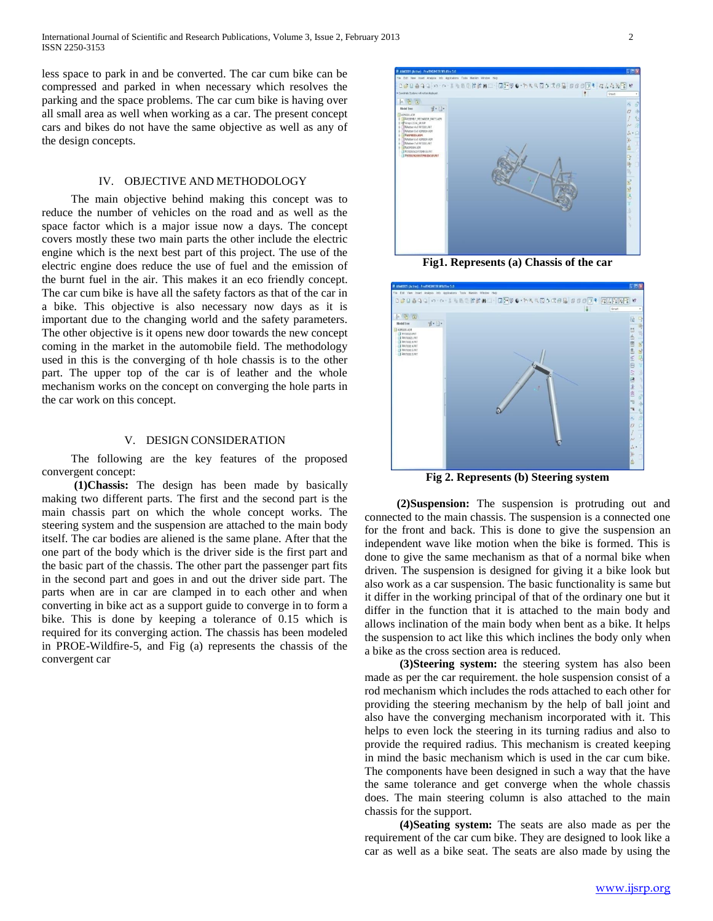less space to park in and be converted. The car cum bike can be compressed and parked in when necessary which resolves the parking and the space problems. The car cum bike is having over all small area as well when working as a car. The present concept cars and bikes do not have the same objective as well as any of the design concepts.

#### IV. OBJECTIVE AND METHODOLOGY

 The main objective behind making this concept was to reduce the number of vehicles on the road and as well as the space factor which is a major issue now a days. The concept covers mostly these two main parts the other include the electric engine which is the next best part of this project. The use of the electric engine does reduce the use of fuel and the emission of the burnt fuel in the air. This makes it an eco friendly concept. The car cum bike is have all the safety factors as that of the car in a bike. This objective is also necessary now days as it is important due to the changing world and the safety parameters. The other objective is it opens new door towards the new concept coming in the market in the automobile field. The methodology used in this is the converging of th hole chassis is to the other part. The upper top of the car is of leather and the whole mechanism works on the concept on converging the hole parts in the car work on this concept.

#### V. DESIGN CONSIDERATION

 The following are the key features of the proposed convergent concept:

 **(1)Chassis:** The design has been made by basically making two different parts. The first and the second part is the main chassis part on which the whole concept works. The steering system and the suspension are attached to the main body itself. The car bodies are aliened is the same plane. After that the one part of the body which is the driver side is the first part and the basic part of the chassis. The other part the passenger part fits in the second part and goes in and out the driver side part. The parts when are in car are clamped in to each other and when converting in bike act as a support guide to converge in to form a bike. This is done by keeping a tolerance of 0.15 which is required for its converging action. The chassis has been modeled in PROE-Wildfire-5, and Fig (a) represents the chassis of the convergent car



**Fig1. Represents (a) Chassis of the car**



**Fig 2. Represents (b) Steering system**

 **(2)Suspension:** The suspension is protruding out and connected to the main chassis. The suspension is a connected one for the front and back. This is done to give the suspension an independent wave like motion when the bike is formed. This is done to give the same mechanism as that of a normal bike when driven. The suspension is designed for giving it a bike look but also work as a car suspension. The basic functionality is same but it differ in the working principal of that of the ordinary one but it differ in the function that it is attached to the main body and allows inclination of the main body when bent as a bike. It helps the suspension to act like this which inclines the body only when a bike as the cross section area is reduced.

 **(3)Steering system:** the steering system has also been made as per the car requirement. the hole suspension consist of a rod mechanism which includes the rods attached to each other for providing the steering mechanism by the help of ball joint and also have the converging mechanism incorporated with it. This helps to even lock the steering in its turning radius and also to provide the required radius. This mechanism is created keeping in mind the basic mechanism which is used in the car cum bike. The components have been designed in such a way that the have the same tolerance and get converge when the whole chassis does. The main steering column is also attached to the main chassis for the support.

 **(4)Seating system:** The seats are also made as per the requirement of the car cum bike. They are designed to look like a car as well as a bike seat. The seats are also made by using the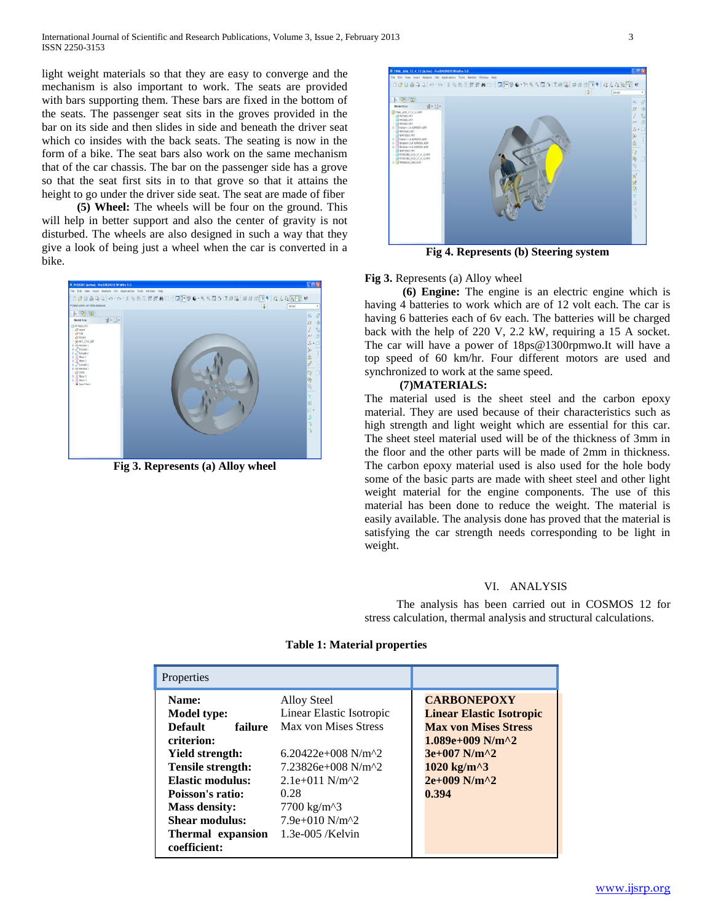light weight materials so that they are easy to converge and the mechanism is also important to work. The seats are provided with bars supporting them. These bars are fixed in the bottom of the seats. The passenger seat sits in the groves provided in the bar on its side and then slides in side and beneath the driver seat which co insides with the back seats. The seating is now in the form of a bike. The seat bars also work on the same mechanism that of the car chassis. The bar on the passenger side has a grove so that the seat first sits in to that grove so that it attains the height to go under the driver side seat. The seat are made of fiber

 **(5) Wheel:** The wheels will be four on the ground. This will help in better support and also the center of gravity is not disturbed. The wheels are also designed in such a way that they give a look of being just a wheel when the car is converted in a bike.



**Fig 3. Represents (a) Alloy wheel**



**Fig 4. Represents (b) Steering system**

#### **Fig 3.** Represents (a) Alloy wheel

 **(6) Engine:** The engine is an electric engine which is having 4 batteries to work which are of 12 volt each. The car is having 6 batteries each of 6v each. The batteries will be charged back with the help of 220 V, 2.2 kW, requiring a 15 A socket. The car will have a power of 18ps@1300rpmwo.It will have a top speed of 60 km/hr. Four different motors are used and synchronized to work at the same speed.

#### **(7)MATERIALS:**

The material used is the sheet steel and the carbon epoxy material. They are used because of their characteristics such as high strength and light weight which are essential for this car. The sheet steel material used will be of the thickness of 3mm in the floor and the other parts will be made of 2mm in thickness. The carbon epoxy material used is also used for the hole body some of the basic parts are made with sheet steel and other light weight material for the engine components. The use of this material has been done to reduce the weight. The material is easily available. The analysis done has proved that the material is satisfying the car strength needs corresponding to be light in weight.

#### VI. ANALYSIS

The analysis has been carried out in COSMOS 12 for stress calculation, thermal analysis and structural calculations.

| Properties                                                                                                                                                                                                                                 |                                                                                                                                                                                                                                                                                                                         |                                                                                                                                                                                                                                                                              |
|--------------------------------------------------------------------------------------------------------------------------------------------------------------------------------------------------------------------------------------------|-------------------------------------------------------------------------------------------------------------------------------------------------------------------------------------------------------------------------------------------------------------------------------------------------------------------------|------------------------------------------------------------------------------------------------------------------------------------------------------------------------------------------------------------------------------------------------------------------------------|
| Name:<br><b>Model type:</b><br><b>Default</b><br>failure<br>criterion:<br><b>Yield strength:</b><br><b>Tensile strength:</b><br>Elastic modulus:<br>Poisson's ratio:<br><b>Mass density:</b><br><b>Shear modulus:</b><br>Thermal expansion | <b>Alloy Steel</b><br>Linear Elastic Isotropic<br>Max von Mises Stress<br>$6.20422e+008$ N/m <sup>2</sup><br>$7.23826e+008$ N/m <sup><math>\lambda</math>2</sup><br>$2.1e+011$ N/m <sup><math>2</math></sup><br>0.28<br>$7700 \text{ kg/m}^3$<br>$7.9e+010$ N/m <sup><math>\text{A}</math>2</sup><br>$1.3e-005$ /Kelvin | <b>CARBONEPOXY</b><br><b>Linear Elastic Isotropic</b><br><b>Max von Mises Stress</b><br>$1.089e+009$ N/m <sup><math>\&amp;2</math></sup><br>$3e+007$ N/m <sup><math>\gamma</math></sup> 2<br>$1020 \text{ kg/m}^3$<br>$2e+009$ N/m <sup><math>\wedge</math></sup> 2<br>0.394 |
| coefficient:                                                                                                                                                                                                                               |                                                                                                                                                                                                                                                                                                                         |                                                                                                                                                                                                                                                                              |

## **Table 1: Material properties**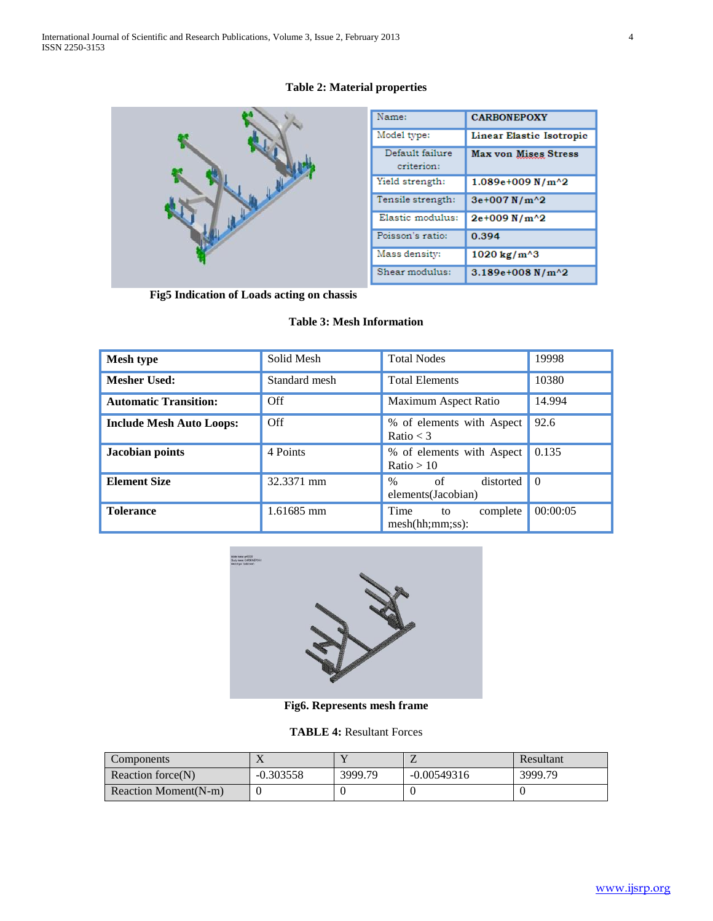# **Table 2: Material properties**



| Name:                         | <b>CARBONEPOXY</b>       |  |
|-------------------------------|--------------------------|--|
| Model type:                   | Linear Elastic Isotropic |  |
| Default failure<br>criterion: | Max von Mises Stress     |  |
| Yield strength:               | $1.089e+009 N/m^{2}$     |  |
| Tensile strength:             | 3e+007N/m^2              |  |
| Elastic modulus:              | 2e+009 N/m^2             |  |
| Poisson's ratio:              | 0.394                    |  |
| Mass density:                 | 1020 kg/m^3              |  |
| Shear modulus:                | $3.189e+008 N/m^{2}$     |  |

 **Fig5 Indication of Loads acting on chassis**

## **Table 3: Mesh Information**

| <b>Mesh type</b>                | Solid Mesh    | <b>Total Nodes</b>                            | 19998    |
|---------------------------------|---------------|-----------------------------------------------|----------|
| <b>Mesher Used:</b>             | Standard mesh | <b>Total Elements</b>                         | 10380    |
| <b>Automatic Transition:</b>    | Off           | Maximum Aspect Ratio                          | 14.994   |
| <b>Include Mesh Auto Loops:</b> | Off           | % of elements with Aspect<br>Ratio $<$ 3      | 92.6     |
| Jacobian points                 | 4 Points      | % of elements with Aspect<br>Ratio > 10       | 0.135    |
| <b>Element Size</b>             | 32.3371 mm    | of<br>distorted<br>$\%$<br>elements(Jacobian) | $\theta$ |
| <b>Tolerance</b>                | 1.61685 mm    | Time<br>complete<br>to<br>mesh(hh;mm;ss):     | 00:00:05 |



**Fig6. Represents mesh frame**

**TABLE 4:** Resultant Forces

| <b>Components</b>    |             |         |               | Resultant |
|----------------------|-------------|---------|---------------|-----------|
| Reaction force(N)    | $-0.303558$ | 3999.79 | $-0.00549316$ | 3999.79   |
| Reaction Moment(N-m) |             |         |               |           |